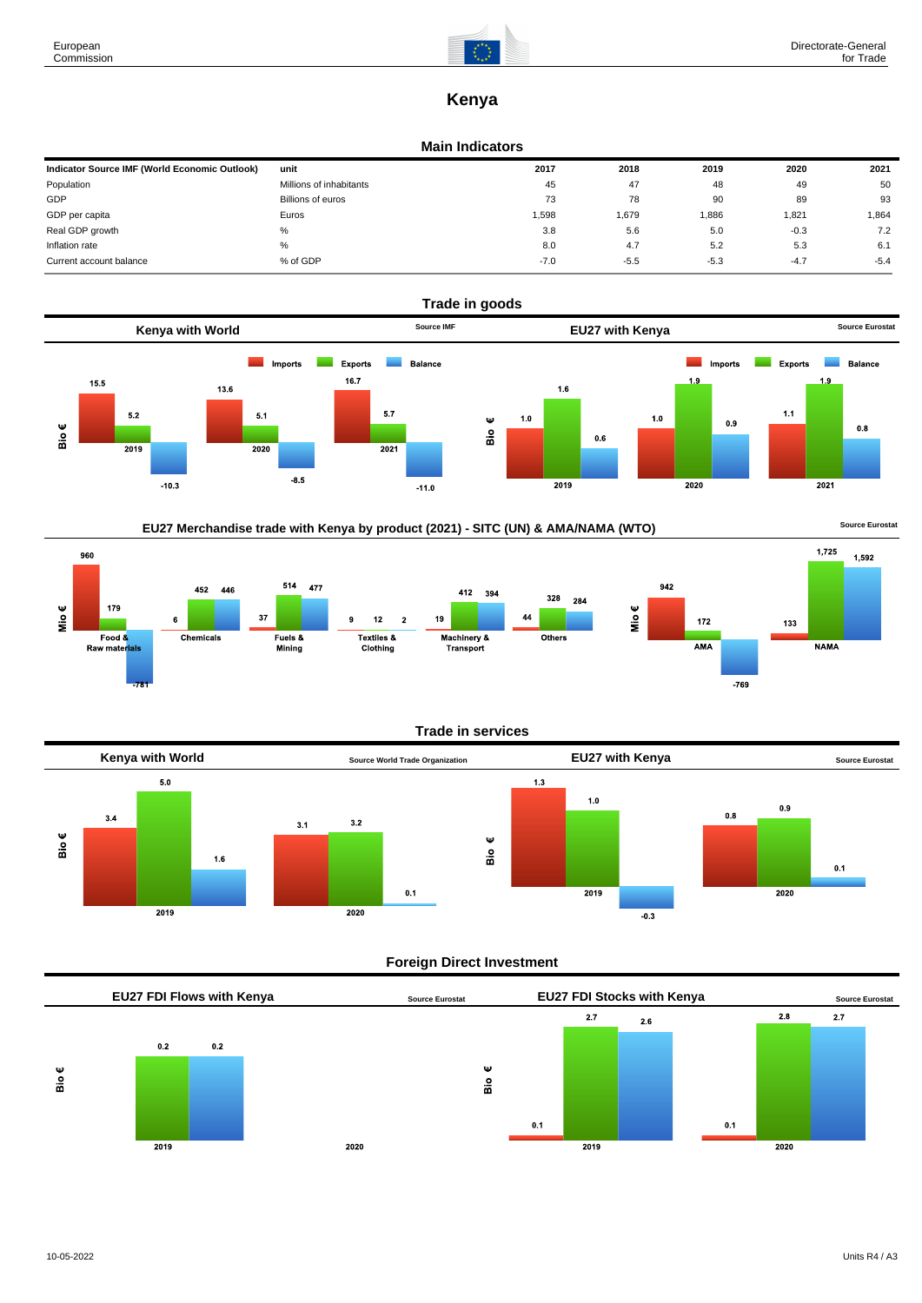

 $1,725$ 

**NAMA** 

 $433$ 

1.592

# **Kenya**

#### **Main Indicators**

| Indicator Source IMF (World Economic Outlook) | unit                    | 2017   | 2018   | 2019   | 2020   | 2021   |
|-----------------------------------------------|-------------------------|--------|--------|--------|--------|--------|
| Population                                    | Millions of inhabitants | 45     | 47     | 48     | 49     | 50     |
| GDP                                           | Billions of euros       | 73     | 78     | 90     | 89     | 93     |
| GDP per capita                                | Euros                   | 1.598  | 1,679  | 1,886  | 1,821  | 1,864  |
| Real GDP growth                               | %                       | 3.8    | 5.6    | 5.0    | $-0.3$ | 7.2    |
| Inflation rate                                | $\%$                    | 8.0    | 4.7    | 5.2    | 5.3    | 6.1    |
| Current account balance                       | % of GDP                | $-7.0$ | $-5.5$ | $-5.3$ | $-4.7$ | $-5.4$ |





960 514 477 942 452 446  $412$ 394 328 284 Mio€ Mio€ 179  $37$ 44  $\ddot{\bf{6}}$  $\overline{9}$  $12$  $\overline{2}$ 19  $172$ Textiles &<br>Clothing Food & Chemicals Fuels &<br>Mining Machinery &<br>Transport Others AMA Raw materials  $-769$ 





### **Foreign Direct Investment**